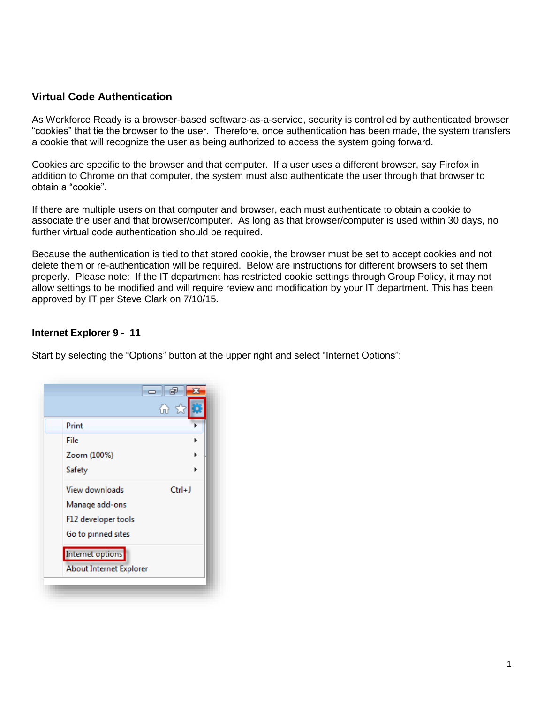## **Virtual Code Authentication**

As Workforce Ready is a browser-based software-as-a-service, security is controlled by authenticated browser "cookies" that tie the browser to the user. Therefore, once authentication has been made, the system transfers a cookie that will recognize the user as being authorized to access the system going forward.

Cookies are specific to the browser and that computer. If a user uses a different browser, say Firefox in addition to Chrome on that computer, the system must also authenticate the user through that browser to obtain a "cookie".

If there are multiple users on that computer and browser, each must authenticate to obtain a cookie to associate the user and that browser/computer. As long as that browser/computer is used within 30 days, no further virtual code authentication should be required.

Because the authentication is tied to that stored cookie, the browser must be set to accept cookies and not delete them or re-authentication will be required. Below are instructions for different browsers to set them properly. Please note: If the IT department has restricted cookie settings through Group Policy, it may not allow settings to be modified and will require review and modification by your IT department. This has been approved by IT per Steve Clark on 7/10/15.

### **Internet Explorer 9 - 11**

Start by selecting the "Options" button at the upper right and select "Internet Options":

| Print                          |            |
|--------------------------------|------------|
| File                           |            |
| Zoom (100%)                    |            |
| Safety                         |            |
| <b>View downloads</b>          | $Ctrl + J$ |
| Manage add-ons                 |            |
| F12 developer tools            |            |
| Go to pinned sites             |            |
| <b>Internet options</b>        |            |
| <b>About Internet Explorer</b> |            |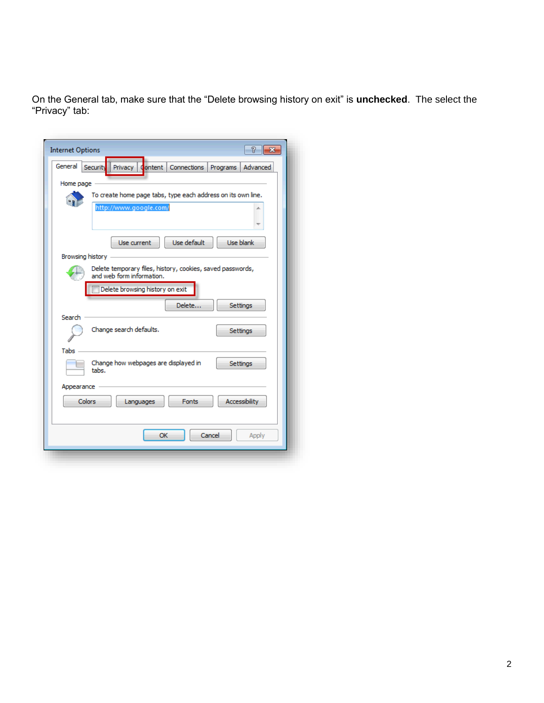On the General tab, make sure that the "Delete browsing history on exit" is **unchecked**. The select the "Privacy" tab:

| <b>Internet Options</b><br>P                                                              |
|-------------------------------------------------------------------------------------------|
| General<br>Security<br>Privacy  <br>Content<br><b>Connections</b><br>Advanced<br>Programs |
| Home page                                                                                 |
| To create home page tabs, type each address on its own line.<br>http://www.google.com/    |
|                                                                                           |
| Use default<br><b>Use blank</b><br>Use current                                            |
| Browsing history                                                                          |
| Delete temporary files, history, cookies, saved passwords,<br>and web form information.   |
| Delete browsing history on exit                                                           |
| Delete<br><b>Settings</b><br>Search                                                       |
| Change search defaults.<br><b>Settings</b>                                                |
| Tabs                                                                                      |
| Change how webpages are displayed in<br>Settings<br>tabs.                                 |
| Appearance                                                                                |
| Colors<br><b>Fonts</b><br><b>Accessibility</b><br>Languages                               |
| <b>OK</b><br>Cancel<br>Apply                                                              |
|                                                                                           |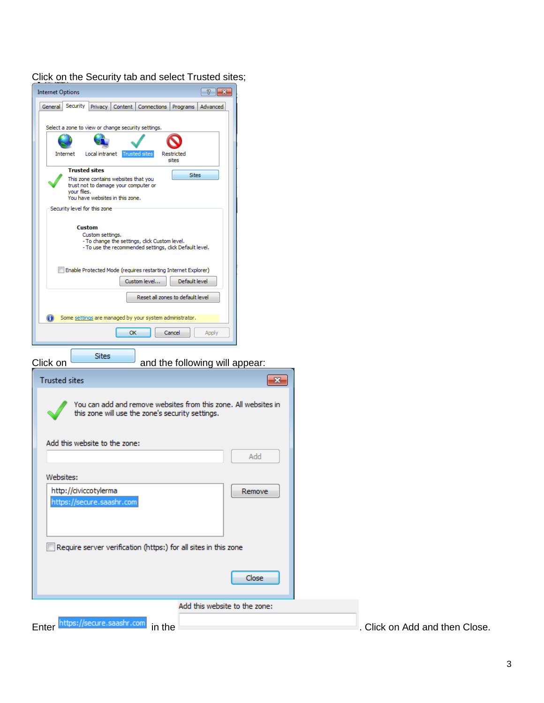| <b>Internet Options</b>                                                                                                                       | P<br>$\mathbf{x}$              |
|-----------------------------------------------------------------------------------------------------------------------------------------------|--------------------------------|
| Security<br>General<br>Privacy<br>Content  <br><b>Connections</b>                                                                             | Programs   Advanced            |
|                                                                                                                                               |                                |
| Select a zone to view or change security settings.                                                                                            |                                |
|                                                                                                                                               |                                |
| Internet<br>Local intranet Trusted sites<br>Restricted<br>sites                                                                               |                                |
| <b>Trusted sites</b>                                                                                                                          | <b>Sites</b>                   |
| This zone contains websites that you<br>trust not to damage your computer or<br>your files.<br>You have websites in this zone.                |                                |
| Security level for this zone                                                                                                                  |                                |
| <b>Custom</b><br>Custom settings.<br>- To change the settings, click Custom level.<br>- To use the recommended settings, click Default level. |                                |
| Enable Protected Mode (requires restarting Internet Explorer)                                                                                 |                                |
| Custom level                                                                                                                                  | Default level                  |
| Reset all zones to default level                                                                                                              |                                |
| $\bigoplus$<br>Some settings are managed by your system administrator.                                                                        |                                |
| ОК<br>Cancel                                                                                                                                  | Apply                          |
|                                                                                                                                               |                                |
| Sites<br>Click on                                                                                                                             | and the following will appear: |
|                                                                                                                                               |                                |
| <b>Trusted sites</b>                                                                                                                          | x                              |
| You can add and remove websites from this zone. All websites in<br>this zone will use the zone's security settings.                           |                                |
| Add this website to the zone:                                                                                                                 |                                |
|                                                                                                                                               | Add                            |
|                                                                                                                                               |                                |
| Websites:                                                                                                                                     |                                |
| http://civiccotylerma<br>https://secure.saashr.com                                                                                            | Remove                         |
|                                                                                                                                               |                                |
| Require server verification (https:) for all sites in this zone                                                                               |                                |
|                                                                                                                                               |                                |
|                                                                                                                                               | Close                          |
|                                                                                                                                               |                                |
|                                                                                                                                               | Add this website to the zone:  |
|                                                                                                                                               |                                |

#### Click on the Security tab and select Trusted sites;

Enter https://secure.saashr.com in the **interpretision of the click on Add and then Close.**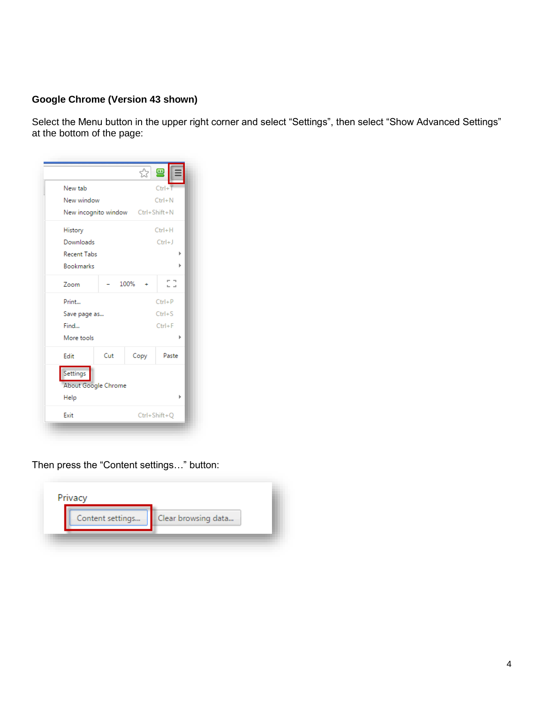## **Google Chrome (Version 43 shown)**

Select the Menu button in the upper right corner and select "Settings", then select "Show Advanced Settings" at the bottom of the page:

| New tab                           |     |      | $Ctrl + T$ |
|-----------------------------------|-----|------|------------|
| New window                        |     |      | $Ctrl + N$ |
| New incognito window Ctrl+Shift+N |     |      |            |
| History                           |     |      | $Ctrl + H$ |
| Downloads                         |     |      | $Ctrl + J$ |
| <b>Recent Tabs</b>                |     |      |            |
| <b>Bookmarks</b>                  |     |      |            |
| Zoom                              |     | 100% |            |
| Print                             |     |      | $Ctrl + P$ |
| Save page as                      |     |      | $Ctrl + S$ |
| Find                              |     |      | $Ctrl + F$ |
| More tools                        |     |      |            |
| Fdit                              | Cut | Copy | Paste      |
| Settings                          |     |      |            |
| About Google Chrome               |     |      |            |
| Help                              |     |      |            |
|                                   |     |      |            |

Then press the "Content settings…" button:

| Content settings | Clear browsing data |
|------------------|---------------------|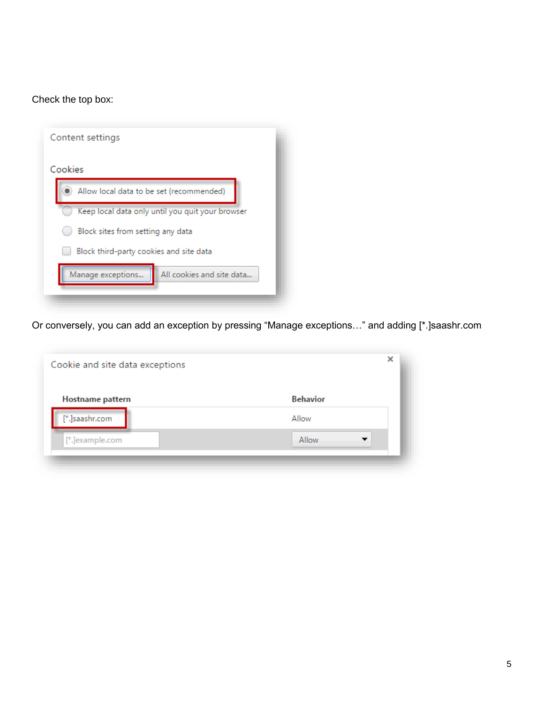## Check the top box:

| Content settings                                 |                                          |
|--------------------------------------------------|------------------------------------------|
| Cookies                                          |                                          |
|                                                  | Allow local data to be set (recommended) |
| Keep local data only until you quit your browser |                                          |
| Block sites from setting any data                |                                          |
|                                                  | Block third-party cookies and site data  |
| Manage exceptions                                | All cookies and site data                |
|                                                  |                                          |

Or conversely, you can add an exception by pressing "Manage exceptions…" and adding [\*.]saashr.com

| Hostname pattern | <b>Behavior</b> |
|------------------|-----------------|
| [*.]saashr.com   | Allow           |
| [*.]example.com  | <b>Allow</b>    |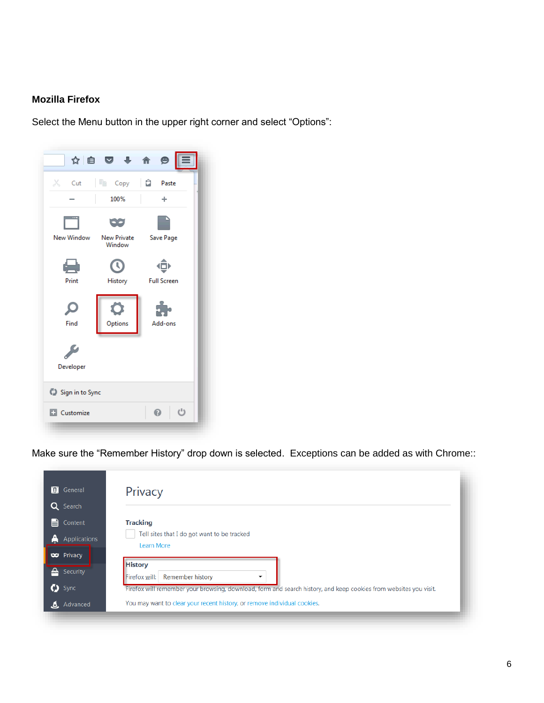## **Mozilla Firefox**

Select the Menu button in the upper right corner and select "Options":



Make sure the "Remember History" drop down is selected. Exceptions can be added as with Chrome::

| General           | Privacy                                                                                                           |
|-------------------|-------------------------------------------------------------------------------------------------------------------|
| Search            |                                                                                                                   |
| Content           | <b>Tracking</b>                                                                                                   |
| Applications<br>A | Tell sites that I do not want to be tracked                                                                       |
|                   | Learn More                                                                                                        |
| <b>CO</b> Privacy |                                                                                                                   |
| $\mathbf{r}$      | <b>History</b>                                                                                                    |
| Security          | Firefox will:<br><b>Remember history</b>                                                                          |
| $\bigcirc$ Sync   | Firefox will remember your browsing, download, form and search history, and keep cookies from websites you visit. |
|                   |                                                                                                                   |